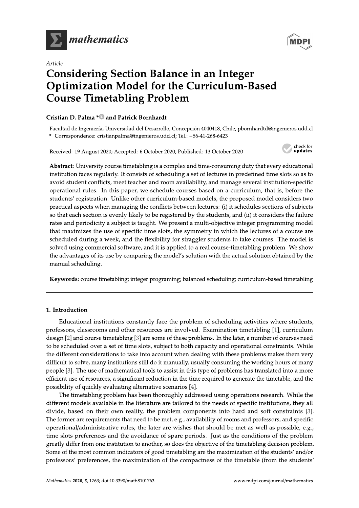

# Article



**MDPI**<br> **Article**<br> **Considering Section Balance in an Integer<br>
<b>Optimization Model for the Curriculum-Based**<br> **Course Timetabling Problem**<br>
Cristian D. Palma <sup>4</sup>® and Patrick Bornhardt<br>
Facultad de Ingeniera, Universidad d Abstract: University course timetabling is a complex and time-consuming duty that every educational institution faces regularly. It consists of scheduling a set of lectures in predefined time slots so as to avoid student conflicts, meet teacher and room availability, and manage several institution-specific operational rules. In this paper, we schedule courses based on a curriculum, that is, before the students' registration. Unlike other curriculum-based models, the proposed model considers two practical aspects when managing the conflicts between lectures: (i) it schedules sections of subjects so that each section is evenly likely to be registered by the students, and (ii) it considers the failure rates and periodicity a subject is taught. We present a multi-objective integer programming model that maximizes the use of specific time slots, the symmetry in which the lectures of a course are scheduled during a week, and the flexibility for straggler students to take courses. The model is solved using commercial software, and it is applied to a real course-timetabling problem. We show the advantages of its use by comparing the model's solution with the actual solution obtained by the manual scheduling.

Keywords: course timetabling; integer programing; balanced scheduling; curriculum-based timetabling

# 1. Introduction

Educational institutions constantly face the problem of scheduling activities where students, professors, classrooms and other resources are involved. Examination timetabling [1], curriculum design  $[2]$  and course timetabling  $[3]$  are some of these problems. In the later, a number of courses need to be scheduled over a set of time slots, subject to both capacity and operational constraints. While the different considerations to take into account when dealing with these problems makes them very difficult to solve, many institutions still do it manually, usually consuming the working hours of many people [3]. The use of mathematical tools to assist in this type of problems has translated into a more efficient use of resources, a significant reduction in the time required to generate the timetable, and the possibility of quickly evaluating alternative scenarios [4].

The timetabling problem has been thoroughly addressed using operations research. While the different models available in the literature are tailored to the needs of specific institutions, they all divide, based on their own reality, the problem components into hard and soft constraints [3]. The former are requirements that need to be met, e.g., availability of rooms and professors, and specific operational/administrative rules; the later are wishes that should be met as well as possible, e.g., time slots preferences and the avoidance of spare periods. Just as the conditions of the problem greatly differ from one institution to another, so does the objective of the timetabling decision problem. Some of the most common indicators of good timetabling are the maximization of the students' and/or professors' preferences, the maximization of the compactness of the timetable (from the students'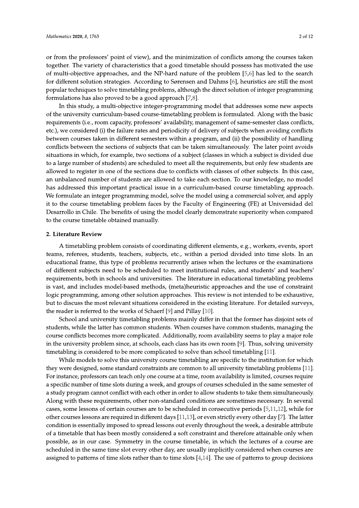or from the professors' point of view), and the minimization of conflicts among the courses taken together. The variety of characteristics that a good timetable should possess has motivated the use of multi-objective approaches, and the NP-hard nature of the problem [5,6] has led to the search for different solution strategies. According to Sørensen and Dahms [6], heuristics are still the most popular techniques to solve timetabling problems, although the direct solution of integer programming formulations has also proved to be a good approach  $[7,8]$ .

In this study, a multi-objective integer-programming model that addresses some new aspects of the university curriculum-based course-timetabling problem is formulated. Along with the basic requirements (i.e., room capacity, professors' availability, management of same-semester class conflicts, etc.), we considered (i) the failure rates and periodicity of delivery of subjects when avoiding conflicts between courses taken in different semesters within a program, and (ii) the possibility of handling conflicts between the sections of subjects that can be taken simultaneously. The later point avoids situations in which, for example, two sections of a subject (classes in which a subject is divided due to a large number of students) are scheduled to meet all the requirements, but only few students are allowed to register in one of the sections due to conflicts with classes of other subjects. In this case, an unbalanced number of students are allowed to take each section. To our knowledge, no model has addressed this important practical issue in a curriculum-based course timetabling approach. We formulate an integer programming model, solve the model using a commercial solver, and apply it to the course timetabling problem faces by the Faculty of Engineering (FE) at Universidad del Desarrollo in Chile. The benefits of using the model clearly demonstrate superiority when compared to the course timetable obtained manually.

# 2. Literature Review

A timetabling problem consists of coordinating different elements, e.g., workers, events, sport teams, referees, students, teachers, subjects, etc., within a period divided into time slots. In an educational frame, this type of problems recurrently arises when the lectures or the examinations of different subjects need to be scheduled to meet institutional rules, and students' and teachers' requirements, both in schools and universities. The literature in educational timetabling problems is vast, and includes model-based methods, (meta)heuristic approaches and the use of constraint logic programming, among other solution approaches. This review is not intended to be exhaustive, but to discuss the most relevant situations considered in the existing literature. For detailed surveys, the reader is referred to the works of Schaerf [9] and Pillay [10].

School and university timetabling problems mainly differ in that the former has disjoint sets of students, while the latter has common students. When courses have common students, managing the course conflicts becomes more complicated. Additionally, room availability seems to play a major role in the university problem since, at schools, each class has its own room [9]. Thus, solving university timetabling is considered to be more complicated to solve than school timetabling [11].

While models to solve this university course timetabling are specific to the institution for which they were designed, some standard constraints are common to all university timetabling problems [11]. For instance, professors can teach only one course at a time, room availability is limited, courses require a specific number of time slots during a week, and groups of courses scheduled in the same semester of a study program cannot conflict with each other in order to allow students to take them simultaneously. Along with these requirements, other non-standard conditions are sometimes necessary. In several cases, some lessons of certain courses are to be scheduled in consecutive periods [5,11,12], while for other courses lessons are required in different days [11,13], or even strictly every other day [7]. The latter condition is essentially imposed to spread lessons out evenly throughout the week, a desirable attribute of a timetable that has been mostly considered a soft constraint and therefore attainable only when possible, as in our case. Symmetry in the course timetable, in which the lectures of a course are scheduled in the same time slot every other day, are usually implicitly considered when courses are assigned to patterns of time slots rather than to time slots  $[4,14]$ . The use of patterns to group decisions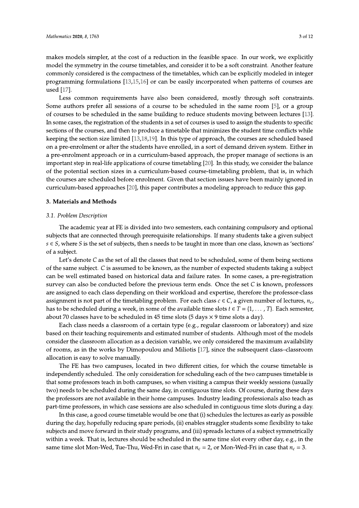3 of 12

makes models simpler, at the cost of a reduction in the feasible space. In our work, we explicitly model the symmetry in the course timetables, and consider it to be a soft constraint. Another feature commonly considered is the compactness of the timetables, which can be explicitly modeled in integer programming formulations [13,15,16] or can be easily incorporated when patterns of courses are used [17].

Less common requirements have also been considered, mostly through soft constraints. Some authors prefer all sessions of a course to be scheduled in the same room [5], or a group of courses to be scheduled in the same building to reduce students moving between lectures [13]. In some cases, the registration of the students in a set of courses is used to assign the students to specific sections of the courses, and then to produce a timetable that minimizes the student time conflicts while keeping the section size limited [13,18,19]. In this type of approach, the courses are scheduled based on a pre-enrolment or after the students have enrolled, in a sort of demand driven system. Either in a pre-enrolment approach or in a curriculum-based approach, the proper manage of sections is an important step in real-life applications of course timetabling [20]. In this study, we consider the balance of the potential section sizes in a curriculum-based course-timetabling problem, that is, in which the courses are scheduled before enrolment. Given that section issues have been mainly ignored in curriculum-based approaches [20], this paper contributes a modeling approach to reduce this gap.

### 3. Materials and Methods

#### 3.1. Problem Description

The academic year at FE is divided into two semesters, each containing compulsory and optional subjects that are connected through prerequisite relationships. If many students take a given subject  $s \in S$ , where S is the set of subjects, then s needs to be taught in more than one class, known as 'sections' of a subject.

Let's denote C as the set of all the classes that need to be scheduled, some of them being sections of the same subject. C is assumed to be known, as the number of expected students taking a subject can be well estimated based on historical data and failure rates. In some cases, a pre-registration survey can also be conducted before the previous term ends. Once the set  $C$  is known, professors are assigned to each class depending on their workload and expertise, therefore the professor-class assignment is not part of the timetabling problem. For each class  $c \in C$ , a given number of lectures,  $n_c$ has to be scheduled during a week, in some of the available time slots  $t \in T = \{1, \dots, T\}$ . Each semester, about 70 classes have to be scheduled in 45 time slots (5 days  $\times$  9 time slots a day).

Each class needs a classroom of a certain type  $(e.g., regular$  classroom or laboratory) and size based on their teaching requirements and estimated number of students. Although most of the models consider the classroom allocation as a decision variable, we only considered the maximum availability of rooms, as in the works by Dimopoulou and Miliotis [17], since the subsequent class-classroom allocation is easy to solve manually.

The FE has two campuses, located in two different cities, for which the course timetable is independently scheduled. The only consideration for scheduling each of the two campuses timetable is that some professors teach in both campuses, so when visiting a campus their weekly sessions (usually two) needs to be scheduled during the same day, in contiguous time slots. Of course, during these days the professors are not available in their home campuses. Industry leading professionals also teach as part-time professors, in which case sessions are also scheduled in contiguous time slots during a day.

In this case, a good course timetable would be one that (i) schedules the lectures as early as possible during the day, hopefully reducing spare periods, (ii) enables straggler students some flexibility to take subjects and move forward in their study programs, and (iii) spreads lectures of a subject symmetrically within a week. That is, lectures should be scheduled in the same time slot every other day, e.g., in the same time slot Mon-Wed, Tue-Thu, Wed-Fri in case that  $n_c = 2$ , or Mon-Wed-Fri in case that  $n_c = 3$ .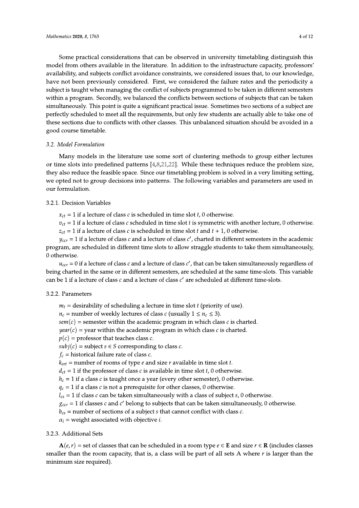Some practical considerations that can be observed in university timetabling distinguish this model from others available in the literature. In addition to the infrastructure capacity, professors' availability, and subjects conflict avoidance constraints, we considered issues that, to our knowledge, have not been previously considered. First, we considered the failure rates and the periodicity a subject is taught when managing the conflict of subjects programmed to be taken in different semesters within a program. Secondly, we balanced the conflicts between sections of subjects that can be taken simultaneously. This point is quite a significant practical issue. Sometimes two sections of a subject are perfectly scheduled to meet all the requirements, but only few students are actually able to take one of these sections due to conflicts with other classes. This unbalanced situation should be avoided in a good course timetable.

### 3.2. Model Formulation

Many models in the literature use some sort of clustering methods to group either lectures or time slots into predefined patterns  $[4,8,21,22]$ . While these techniques reduce the problem size, they also reduce the feasible space. Since our timetabling problem is solved in a very limiting setting, we opted not to group decisions into patterns. The following variables and parameters are used in our formulation.

# 3.2.1. Decision Variables

 $x_{ct} = 1$  if a lecture of class c is scheduled in time slot t, 0 otherwise.

 $v_{ct} = 1$  if a lecture of class c scheduled in time slot t is symmetric with another lecture, 0 otherwise.

 $z_{ct} = 1$  if a lecture of class c is scheduled in time slot t and  $t + 1$ , 0 otherwise.

 $y_{cc}$  = 1 if a lecture of class c and a lecture of class c', charted in different semesters in the academic program, are scheduled in different time slots to allow straggle students to take them simultaneously, 0 otherwise.

 $u_{cc}$  = 0 if a lecture of class c and a lecture of class c', that can be taken simultaneously regardless of being charted in the same or in different semesters, are scheduled at the same time-slots. This variable can be 1 if a lecture of class  $c$  and a lecture of class  $c'$  are scheduled at different time-slots.

# 3.2.2. Parameters

 $m_t$  = desirability of scheduling a lecture in time slot t (priority of use).

 $n_c$  = number of weekly lectures of class c (usually  $1 \le n_c \le 3$ ).

 $sem(c)$  = semester within the academic program in which class c is charted.

 $year(c)$  = year within the academic program in which class c is charted.

 $p(c)$  = professor that teaches class c.

 $subj(c)$  = subject  $s \in S$  corresponding to class c.

 $f_c$  = historical failure rate of class c.

 $k_{ert}$  = number of rooms of type *e* and size *r* available in time slot *t*.

 $d_{ct} = 1$  if the professor of class c is available in time slot t, 0 otherwise.

 $h_c = 1$  if a class c is taught once a year (every other semester), 0 otherwise.

 $q_c = 1$  if a class c is not a prerequisite for other classes, 0 otherwise.

 $l_{cs}$  = 1 if class c can be taken simultaneously with a class of subject s, 0 otherwise.

 $g_{cc}$  = 1 if classes c and c' belong to subjects that can be taken simultaneously, 0 otherwise.

 $b_{cs}$  = number of sections of a subject s that cannot conflict with class c.

 $\alpha_i$  = weight associated with objective *i*.

# 3.2.3. Additional Sets

 $A(e, r)$  = set of classes that can be scheduled in a room type  $e \in E$  and size  $r \in R$  (includes classes smaller than the room capacity, that is, a class will be part of all sets A where r is larger than the minimum size required).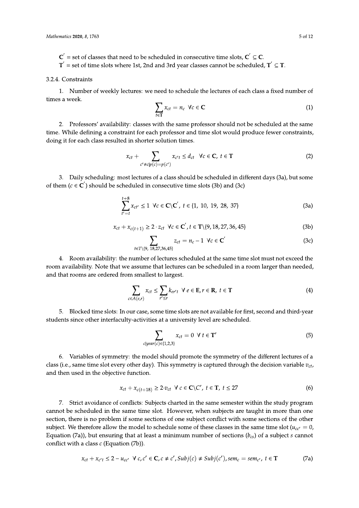- $C^{'}$  = set of classes that need to be scheduled in consecutive time slots,  $C^{'} \subseteq C$ .
- $T^{'}$  = set of time slots where 1st, 2nd and 3rd year classes cannot be scheduled,  $T^{'} \subseteq T$ .

#### 3.2.4. Constraints

1. Number of weekly lectures: we need to schedule the lectures of each class a fixed number of times a week.

$$
\sum_{t \in \mathbf{T}} x_{ct} = n_c \ \forall c \in \mathbf{C}
$$
 (1)

2. Professors' availability: classes with the same professor should not be scheduled at the same time. While defining a constraint for each professor and time slot would produce fewer constraints, doing it for each class resulted in shorter solution times.

$$
x_{ct} + \sum_{c' \neq c | p(c) = p(c')} x_{c't} \leq d_{ct} \quad \forall c \in \mathbf{C}, \ t \in \mathbf{T}
$$
 (2)

3. Daily scheduling: most lectures of a class should be scheduled in different days (3a), but some of them ( $c \in \mathbb{C}'$ ) should be scheduled in consecutive time slots (3b) and (3c)

$$
\sum_{t'=t}^{t+8} x_{ct'} \le 1 \ \forall c \in \mathbf{C} \setminus \mathbf{C}', \ t \in \{1, 10, 19, 28, 37\} \tag{3a}
$$

$$
x_{ct} + x_{c(t+1)} \ge 2 \cdot z_{ct} \quad \forall c \in \mathbb{C}', t \in \mathbb{T} \setminus \{9, 18, 27, 36, 45\} \tag{3b}
$$

$$
\sum_{t \in T \setminus \{9, 18, 27, 36, 45\}} z_{ct} = n_c - 1 \ \forall c \in C' \tag{3c}
$$

4. Room availability: the number of lectures scheduled at the same time slot must not exceed the room availability. Note that we assume that lectures can be scheduled in a room larger than needed, and that rooms are ordered from smallest to largest.

$$
\sum_{c \in A(e,r)} x_{ct} \le \sum_{r' \le r} k_{cr't} \ \forall \ e \in \mathbf{E}, r \in \mathbf{R}, \ t \in \mathbf{T}
$$
 (4)

5. Blocked time slots: In our case, some time slots are not available for first, second and third-year students since other interfaculty-activities at a university level are scheduled.

$$
\sum_{c|year(c) \in \{1,2,3\}} x_{ct} = 0 \ \forall \ t \in \mathbf{T'}
$$
\n<sup>(5)</sup>

6. Variables of symmetry: the model should promote the symmetry of the different lectures of a class (i.e., same time slot every other day). This symmetry is captured through the decision variable  $v_{ct}$ , and then used in the objective function.

$$
x_{ct} + x_{c(t+18)} \ge 2 \cdot v_{ct} \ \forall \ c \in \mathbb{C} \backslash \mathbb{C}', \ t \in \mathbb{T}, \ t \le 27 \tag{6}
$$

7. Strict avoidance of conflicts: Subjects charted in the same semester within the study program cannot be scheduled in the same time slot. However, when subjects are taught in more than one section, there is no problem if some sections of one subject conflict with some sections of the other subject. We therefore allow the model to schedule some of these classes in the same time slot ( $u_{cc'} = 0$ , Equation (7a)), but ensuring that at least a minimum number of sections ( $b_{cs}$ ) of a subject s cannot conflict with a class  $c$  (Equation (7b)).

$$
x_{ct} + x_{c't} \le 2 - u_{cc'} \quad \forall \ c, c' \in \mathbb{C}, c \neq c', Subj(c) \neq Subj(c'), sem_c = sem_{c'}, t \in \mathbb{T}
$$
 (7a)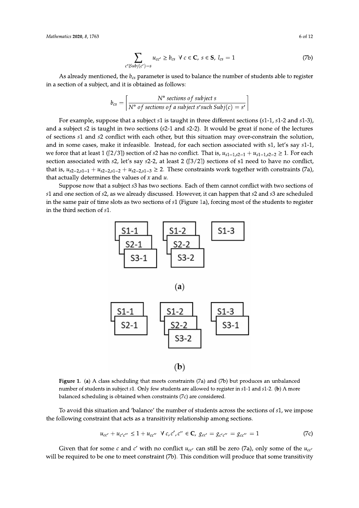$$
\sum_{c'|Subj(c')=s} u_{cc'} \ge b_{cs} \ \forall \ c \in \mathbf{C}, \ s \in \mathbf{S}, \ l_{cs} = 1 \tag{7b}
$$

$$
b_{cs} = \left\lceil \frac{N^{\circ} \text{ sections of subject s}}{N^{\circ} \text{ of sections of a subject s'such Subj}(c) = s'} \right\rceil
$$

*Mathematics* 2020, 8, 1763<br>  $\sum_{c'[Subj(c')] = s} u_{cc'} \ge b_{cs} \ \forall \ c \in \mathbf{C}, \ s \in \mathbf{S}, \ l_{cs} = 1$  (7b)<br>
As already mentioned, the  $b_{cs}$  parameter is used to balance the number of students able to register<br>
in a section of a subject, For example, suppose that a subject  $s1$  is taught in three different sections  $(s1-1, s1-2 \text{ and } s1-3)$ , and a subject  $s2$  is taught in two sections ( $s2$ -1 and  $s2$ -2). It would be great if none of the lectures of sections s1 and s2 conflict with each other, but this situation may over-constrain the solution, and in some cases, make it infeasible. Instead, for each section associated with s1, let's say s1-1, we force that at least 1 ([2/3]) section of s2 has no conflict. That is,  $u_{s1-1,s2-1} + u_{s1-1,s2-2} \ge 1$ . For each section associated with  $s2$ , let's say  $s2-2$ , at least 2 ([3/2]) sections of  $s1$  need to have no conflict, that is,  $u_{s2-2,s1-1} + u_{s2-2,s1-2} + u_{s2-2,s1-3} \ge 2$ . These constraints work together with constraints (7a), that actually determines the values of  $x$  and  $u$ .

> Suppose now that a subject s3 has two sections. Each of them cannot conflict with two sections of s1 and one section of s2, as we already discussed. However, it can happen that s2 and s3 are scheduled in the same pair of time slots as two sections of  $s1$  (Figure 1a), forcing most of the students to register in the third section of s1.







**S3-2**<br> **S3-2**<br> **S3-2**<br> **CD**<br> **Figure 1.** (a) A class scheduling that meets constraints (7a) and (7b) but produces an unbalanced<br>
number of students in subject s1. Only few students are allowed to register in s1-1 and s1-

$$
u_{cc'} + u_{c'c''} \le 1 + u_{cc''} \quad \forall \ c, c', c'' \in \mathbb{C}, \ g_{cc'} = g_{c'c''} = g_{cc''} = 1 \tag{7c}
$$

will be required to be one to meet constraint (7b). This condition will produce that some transitivity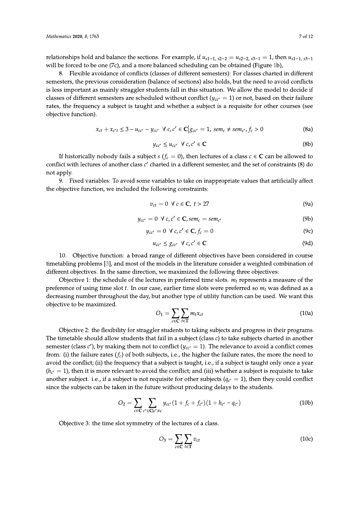relationships hold and balance the sections. For example, if  $u_{s1-1, s2-2} = u_{s2-2, s3-1} = 1$ , then  $u_{s1-1, s3-1}$ will be forced to be one (7c), and a more balanced scheduling can be obtained (Figure 1b),

8. Flexible avoidance of conflicts (classes of different semesters): For classes charted in different semesters, the previous consideration (balance of sections) also holds, but the need to avoid conflicts is less important as mainly straggler students fall in this situation. We allow the model to decide if classes of different semesters are scheduled without conflict ( $y_{cc'} = 1$ ) or not, based on their failure rates, the frequency a subject is taught and whether a subject is a requisite for other courses (see objective function).

$$
x_{ct} + x_{c't} \le 3 - u_{cc'} - y_{cc'} \ \forall \ c, c' \in \mathbb{C} \big| g_{cc'} = 1, \ sem_c \neq sem_{c'}, f_c > 0 \tag{8a}
$$

$$
y_{cc'} \le u_{cc'} \ \forall \ c, c' \in \mathbb{C} \tag{8b}
$$

If historically nobody fails a subject s ( $f_c = 0$ ), then lectures of a class  $c \in \mathbb{C}$  can be allowed to conflict with lectures of another class c' charted in a different semester, and the set of constraints (8) do not apply.

9. Fixed variables: To avoid some variables to take on inappropriate values that artificially affect the objective function, we included the following constraints:

$$
v_{ct} = 0 \ \forall \ c \in \mathbf{C}, \ t > 27 \tag{9a}
$$

$$
y_{cc'} = 0 \ \forall \ c, c' \in \mathbf{C}, \text{sem}_c = \text{sem}_{c'} \tag{9b}
$$

$$
y_{cc'} = 0 \ \forall \ c, c' \in \mathbf{C}, f_c = 0 \tag{9c}
$$

$$
u_{cc'} \leq g_{cc'} \ \forall \ c, c' \in \mathbb{C} \tag{9d}
$$

10. Objective function: a broad range of different objectives have been considered in course timetabling problems [3], and most of the models in the literature consider a weighted combination of different objectives. In the same direction, we maximized the following three objectives:

Objective 1: the schedule of the lectures in preferred time slots.  $m_t$  represents a measure of the preference of using time slot  $t$ . In our case, earlier time slots were preferred so  $m_t$  was defined as a decreasing number throughout the day, but another type of utility function can be used. We want this objective to be maximized.

$$
O_1 = \sum_{c \in \mathbf{C}} \sum_{t \in \mathbf{T}} m_t x_{ct} \tag{10a}
$$

Objective 2: the flexibility for straggler students to taking subjects and progress in their programs. The timetable should allow students that fail in a subject (class  $c$ ) to take subjects charted in another semester (class c'), by making them not to conflict ( $y_{cc'} = 1$ ). The relevance to avoid a conflict comes from: (i) the failure rates  $(f_c)$  of both subjects, i.e., the higher the failure rates, the more the need to avoid the conflict; (ii) the frequency that a subject is taught, i.e., if a subject is taught only once a year  $(h_{c'} = 1)$ , then it is more relevant to avoid the conflict; and (iii) whether a subject is requisite to take another subject. i.e., if a subject is not requisite for other subjects ( $q_{c'} = 1$ ), then they could conflict since the subjects can be taken in the future without producing delays to the students.

$$
O_2 = \sum_{c \in \mathbf{C}} \sum_{c' \in \mathbf{C} | c' \neq c} y_{cc'} (1 + f_c + f_{c'}) (1 + h_{c'} - q_{c'})
$$
(10b)

Objective 3: the time slot symmetry of the lectures of a class.

$$
O_3 = \sum_{c \in \mathbf{C}} \sum_{t \in \mathbf{T}} v_{ct} \tag{10c}
$$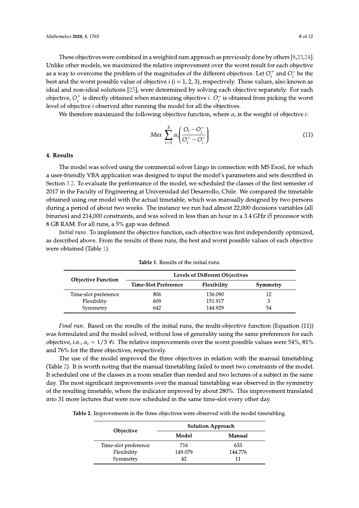These objectives were combined in a weighted sum approach as previously done by others  $[8,23,24]$ . Unlike other models, we maximized the relative improvement over the worst result for each objective as a way to overcome the problem of the magnitudes of the different objectives. Let  $O_i^+$  and  $O_i^-$  be the best and the worst possible value of objective  $i$  ( $i = 1, 2, 3$ ), respectively. These values, also known as ideal and non-ideal solutions [25], were determined by solving each objective separately. For each objective,  $O_i^+$  is directly obtained when maximizing objective *i*.  $O_i^-$  is obtained from picking the worst level of objective *i* observed after running the model for all the objectives.

We therefore maximized the following objective function, where  $\alpha_i$  is the weight of objective *i*:

$$
Max \sum_{i=1}^{3} \alpha_i \left( \frac{O_i - O_i^-}{O_i^+ - O_i^-} \right) \tag{11}
$$

#### 4. Results

The model was solved using the commercial solver Lingo in connection with MS Excel, for which a user-friendly VBA application was designed to input the model's parameters and sets described in Section 3.2. To evaluate the performance of the model, we scheduled the classes of the first semester of 2017 in the Faculty of Engineering at Universidad del Desarrollo, Chile. We compared the timetable obtained using our model with the actual timetable, which was manually designed by two persons during a period of about two weeks. The instance we run had almost 22,000 decisions variables (all binaries) and 214,000 constraints, and was solved in less than an hour in a 3.4 GHz i5 processor with 8 GB RAM. For all runs, a 5% gap was defined.

Initial runs. To implement the objective function, each objective was first independently optimized, as described above. From the results of these runs, the best and worst possible values of each objective were obtained (Table 1).

| <b>Objective Function</b> | <b>Levels of Different Objectives</b> |             |          |
|---------------------------|---------------------------------------|-------------|----------|
|                           | Time-Slot Preference                  | Flexibility | Symmetry |
| Time-slot preference      | 806                                   | 136.090     | 12       |
| Flexibility               | 609                                   | 151.917     | 3        |
| Symmetry                  | 642                                   | 144.929     | 54       |

Table 1. Results of the initial runs.

*Final run.* Based on the results of the initial runs, the multi-objective function (Equation (11)) was formulated and the model solved, without loss of generality using the same preferences for each objective, i.e.,  $\alpha_i = 1/3$  V*i*. The relative improvements over the worst possible values were 54%, 81% and 76% for the three objectives, respectively.

The use of the model improved the three objectives in relation with the manual timetabling (Table 2). It is worth noting that the manual timetabling failed to meet two constraints of the model. It scheduled one of the classes in a room smaller than needed and two lectures of a subject in the same day. The most significant improvements over the manual timetabling was observed in the symmetry of the resulting timetable, where the indicator improved by about 280%. This improvement translated into 31 more lectures that were now scheduled in the same time-slot every other day.

Table 2. Improvements in the three objectives were observed with the model timetabling.

| Objective            | <b>Solution Approach</b> |         |  |
|----------------------|--------------------------|---------|--|
|                      | Model                    | Manual  |  |
| Time-slot preference | 716                      | 633     |  |
| Flexibility          | 149.079                  | 144.776 |  |
| Symmetry             | 42                       | 11      |  |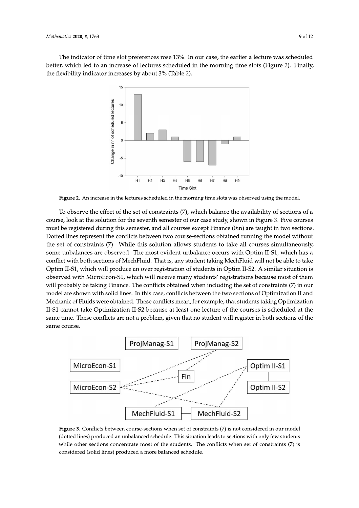The indicator of time slot preferences rose 13%. In our case, the earlier a lecture was scheduled better, which led to an increase of lectures scheduled in the morning time slots (Figure 2). Finally, the flexibility indicator increases by about 3% (Table 2).



Figure 2. An increase in the lectures scheduled in the morning time slots was observed using the model.

To observe the effect of the set of constraints (7), which balance the availability of sections of a course, look at the solution for the seventh semester of our case study, shown in Figure 3. Five courses must be registered during this semester, and all courses except Finance (Fin) are taught in two sections. Dotted lines represent the conflicts between two course-sections obtained running the model without the set of constraints (7). While this solution allows students to take all courses simultaneously, some unbalances are observed. The most evident unbalance occurs with Optim II-S1, which has a conflict with both sections of MechFluid. That is, any student taking MechFluid will not be able to take Optim II-S1, which will produce an over registration of students in Optim II-S2. A similar situation is observed with MicroEcon-S1, which will receive many students' registrations because most of them will probably be taking Finance. The conflicts obtained when including the set of constraints (7) in our model are shown with solid lines. In this case, conflicts between the two sections of Optimization II and Mechanic of Fluids were obtained. These conflicts mean, for example, that students taking Optimization II-S1 cannot take Optimization II-S2 because at least one lecture of the courses is scheduled at the same time. These conflicts are not a problem, given that no student will register in both sections of the same course.



Figure 3. Conflicts between course-sections when set of constraints (7) is not considered in our model (dotted lines) produced an unbalanced schedule. This situation leads to sections with only few students while other sections concentrate most of the students. The conflicts when set of constraints (7) is considered (solid lines) produced a more balanced schedule.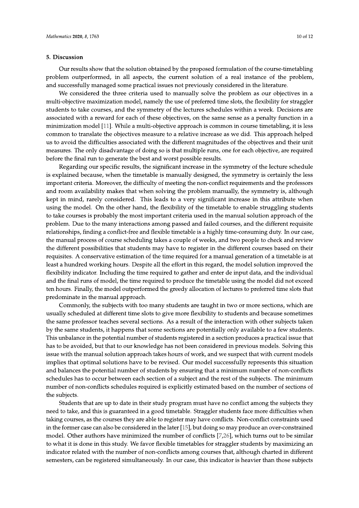#### 5. Discussion

Our results show that the solution obtained by the proposed formulation of the course-timetabling problem outperformed, in all aspects, the current solution of a real instance of the problem, and successfully managed some practical issues not previously considered in the literature.

We considered the three criteria used to manually solve the problem as our objectives in a multi-objective maximization model, namely the use of preferred time slots, the flexibility for straggler students to take courses, and the symmetry of the lectures schedules within a week. Decisions are associated with a reward for each of these objectives, on the same sense as a penalty function in a minimization model [11]. While a multi-objective approach is common in course timetabling, it is less common to translate the objectives measure to a relative increase as we did. This approach helped us to avoid the difficulties associated with the different magnitudes of the objectives and their unit measures. The only disadvantage of doing so is that multiple runs, one for each objective, are required before the final run to generate the best and worst possible results.

Regarding our specific results, the significant increase in the symmetry of the lecture schedule is explained because, when the timetable is manually designed, the symmetry is certainly the less important criteria. Moreover, the difficulty of meeting the non-conflict requirements and the professors and room availability makes that when solving the problem manually, the symmetry is, although kept in mind, rarely considered. This leads to a very significant increase in this attribute when using the model. On the other hand, the flexibility of the timetable to enable struggling students to take courses is probably the most important criteria used in the manual solution approach of the problem. Due to the many interactions among passed and failed courses, and the different requisite relationships, finding a conflict-free and flexible timetable is a highly time-consuming duty. In our case, the manual process of course scheduling takes a couple of weeks, and two people to check and review the different possibilities that students may have to register in the different courses based on their requisites. A conservative estimation of the time required for a manual generation of a timetable is at least a hundred working hours. Despite all the effort in this regard, the model solution improved the flexibility indicator. Including the time required to gather and enter de input data, and the individual and the final runs of model, the time required to produce the timetable using the model did not exceed ten hours. Finally, the model outperformed the greedy allocation of lectures to preferred time slots that predominate in the manual approach.

Commonly, the subjects with too many students are taught in two or more sections, which are usually scheduled at different time slots to give more flexibility to students and because sometimes the same professor teaches several sections. As a result of the interaction with other subjects taken by the same students, it happens that some sections are potentially only available to a few students. This unbalance in the potential number of students registered in a section produces a practical issue that has to be avoided, but that to our knowledge has not been considered in previous models. Solving this issue with the manual solution approach takes hours of work, and we suspect that with current models implies that optimal solutions have to be revised. Our model successfully represents this situation and balances the potential number of students by ensuring that a minimum number of non-conflicts schedules has to occur between each section of a subject and the rest of the subjects. The minimum number of non-conflicts schedules required is explicitly estimated based on the number of sections of the subjects.

Students that are up to date in their study program must have no conflict among the subjects they need to take, and this is guaranteed in a good timetable. Straggler students face more difficulties when taking courses, as the courses they are able to register may have conflicts. Non-conflict constraints used in the former case can also be considered in the later  $[15]$ , but doing so may produce an over-constrained model. Other authors have minimized the number of conflicts [7,26], which turns out to be similar to what it is done in this study. We favor flexible timetables for straggler students by maximizing an indicator related with the number of non-conflicts among courses that, although charted in different semesters, can be registered simultaneously. In our case, this indicator is heavier than those subjects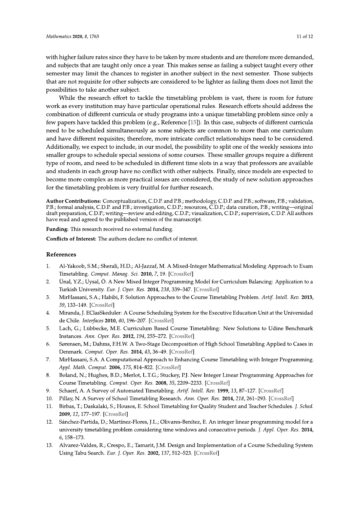with higher failure rates since they have to be taken by more students and are therefore more demanded, and subjects that are taught only once a year. This makes sense as failing a subject taught every other semester may limit the chances to register in another subject in the next semester. Those subjects that are not requisite for other subjects are considered to be lighter as failing them does not limit the possibilities to take another subject.

While the research effort to tackle the timetabling problem is vast, there is room for future work as every institution may have particular operational rules. Research efforts should address the combination of different curricula or study programs into a unique timetabling problem since only a few papers have tackled this problem (e.g., Reference [15]). In this case, subjects of different curricula need to be scheduled simultaneously as some subjects are common to more than one curriculum and have different requisites; therefore, more intricate conflict relationships need to be considered. Additionally, we expect to include, in our model, the possibility to split one of the weekly sessions into smaller groups to schedule special sessions of some courses. These smaller groups require a different type of room, and need to be scheduled in different time slots in a way that professors are available and students in each group have no conflict with other subjects. Finally, since models are expected to become more complex as more practical issues are considered, the study of new solution approaches for the timetabling problem is very fruitful for further research.

Author Contributions: Conceptualization, C.D.P. and P.B.; methodology, C.D.P. and P.B.; software, P.B.; validation, P.B.; formal analysis, C.D.P. and P.B.; investigation, C.D.P.; resources, C.D.P.; data curation, P.B.; writing—original draft preparation, C.D.P.; writing—review and editing, C.D.P.; visualization, C.D.P.; supervision, C.D.P. All authors have read and agreed to the published version of the manuscript.

Funding: This research received no external funding.

Conflicts of Interest: The authors declare no conflict of interest.

#### References

- $\mathbf{1}$ Al-Yakoob, S.M.; Sherali, H.D.; Al-Jazzaf, M. A Mixed-Integer Mathematical Modeling Approach to Exam Timetabling. Comput. Manag. Sci. 2010, 7, 19. [CrossRef]
- $\overline{2}$ . Ünal, Y.Z.; Uysal, Ö. A New Mixed Integer Programming Model for Curriculum Balancing: Application to a Turkish University. Eur. J. Oper. Res. 2014, 238, 339-347. [CrossRef]
- 3. MirHassani, S.A.; Habibi, F. Solution Approaches to the Course Timetabling Problem. Artif. Intell. Rev. 2013, 39, 133-149. [CrossRef]
- $4.$ Miranda, J. EClasSkeduler: A Course Scheduling System for the Executive Education Unit at the Universidad de Chile. Interfaces 2010, 40, 196-207. [CrossRef]
- 5. Lach, G.; Lübbecke, M.E. Curriculum Based Course Timetabling: New Solutions to Udine Benchmark Instances. Ann. Oper. Res. 2012, 194, 255-272. [CrossRef]
- 6. Sørensen, M.; Dahms, F.H.W. A Two-Stage Decomposition of High School Timetabling Applied to Cases in Denmark. Comput. Oper. Res. 2014, 43, 36-49. [CrossRef]
- $\overline{7}$ . MirHassani, S.A. A Computational Approach to Enhancing Course Timetabling with Integer Programming. Appl. Math. Comput. 2006, 175, 814-822. [CrossRef]
- 8. Boland, N.; Hughes, B.D.; Merlot, L.T.G.; Stuckey, P.J. New Integer Linear Programming Approaches for Course Timetabling. Comput. Oper. Res. 2008, 35, 2209-2233. [CrossRef]
- 9. Schaerf, A. A Survey of Automated Timetabling. Artif. Intell. Rev. 1999, 13, 87-127. [CrossRef]
- $10.$ Pillay, N. A Survey of School Timetabling Research. Ann. Oper. Res. 2014, 218, 261-293. [CrossRef]
- Birbas, T.; Daskalaki, S.; Housos, E. School Timetabling for Quality Student and Teacher Schedules. J. Sched.  $11.$ 2009, 12, 177-197. [CrossRef]
- 12. Sánchez-Partida, D.; Martínez-Flores, J.L.; Olivares-Benítez, E. An integer linear programming model for a university timetabling problem considering time windows and consecutive periods. J. Appl. Oper. Res. 2014, 6, 158-173.
- 13. Alvarez-Valdes, R.; Crespo, E.; Tamarit, J.M. Design and Implementation of a Course Scheduling System Using Tabu Search. Eur. J. Oper. Res. 2002, 137, 512-523. [CrossRef]